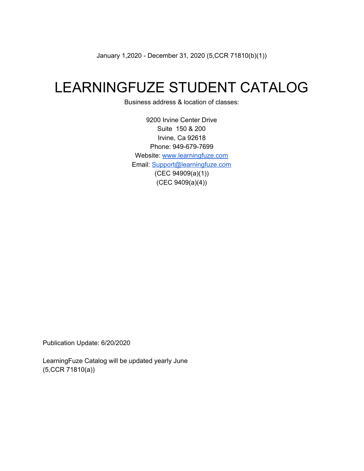January 1,2020 - December 31, 2020 (5,CCR 71810(b)(1))

# LEARNINGFUZE STUDENT CATALOG

Business address & location of classes:

9200 Irvine Center Drive Suite 150 & 200 Irvine, Ca 92618 Phone: 949-679-7699 Website: [www.learningfuze.com](http://www.learningfuze.com/) Email: [Support@learningfuze.com](mailto:Support@learningfuze.com) (CEC 94909(a)(1)) (CEC 9409(a)(4))

Publication Update: 6/20/2020

LearningFuze Catalog will be updated yearly June (5,CCR 71810(a))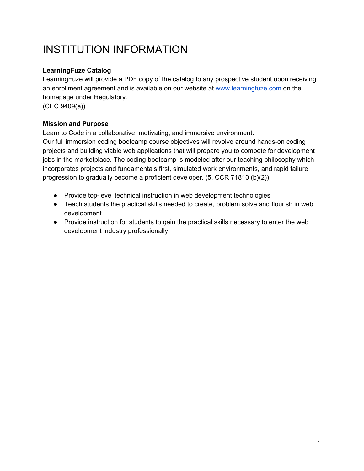# INSTITUTION INFORMATION

#### **LearningFuze Catalog**

LearningFuze will provide a PDF copy of the catalog to any prospective student upon receiving an enrollment agreement and is available on our website at [www.learningfuze.com](http://www.learningfuze.com/) on the homepage under Regulatory. (CEC 9409(a))

#### **Mission and Purpose**

Learn to Code in a collaborative, motivating, and immersive environment.

Our full immersion coding bootcamp course objectives will revolve around hands-on coding projects and building viable web applications that will prepare you to compete for development jobs in the marketplace. The coding bootcamp is modeled after our teaching philosophy which incorporates projects and fundamentals first, simulated work environments, and rapid failure progression to gradually become a proficient developer. (5, CCR 71810 (b)(2))

- Provide top-level technical instruction in web development technologies
- Teach students the practical skills needed to create, problem solve and flourish in web development
- Provide instruction for students to gain the practical skills necessary to enter the web development industry professionally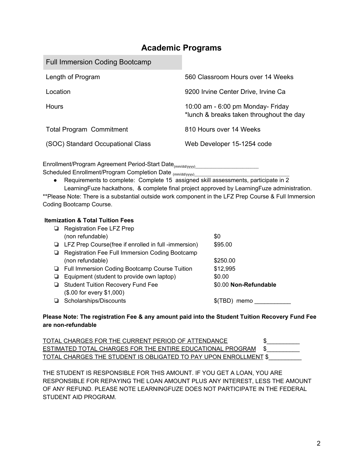### **Academic Programs**

| <b>Full Immersion Coding Bootcamp</b> |                                                                                |
|---------------------------------------|--------------------------------------------------------------------------------|
| Length of Program                     | 560 Classroom Hours over 14 Weeks                                              |
| Location                              | 9200 Irvine Center Drive, Irvine Ca                                            |
| Hours                                 | 10:00 am $-6:00$ pm Monday- Friday<br>*lunch & breaks taken throughout the day |
| <b>Total Program Commitment</b>       | 810 Hours over 14 Weeks                                                        |
| (SOC) Standard Occupational Class     | Web Developer 15-1254 code                                                     |

Enrollment/Program Agreement Period-Start Date<sub>(mm/dd/yyyy)</sub>\_\_\_\_\_\_\_\_\_\_\_\_\_\_\_\_\_\_\_\_\_

Scheduled Enrollment/Program Completion Date (mm/dd/yyyy)\_\_\_\_\_\_\_\_\_\_\_\_\_\_\_\_\_\_\_\_\_\_\_

● Requirements to complete: Complete 15 assigned skill assessments, participate in 2 LearningFuze hackathons, & complete final project approved by LearningFuze administration.

\*\*Please Note: There is a substantial outside work component in the LFZ Prep Course & Full Immersion Coding Bootcamp Course.

#### **Itemization & Total Tuition Fees**

|   | Registration Fee LFZ Prep                            |                       |  |
|---|------------------------------------------------------|-----------------------|--|
|   | (non refundable)                                     | \$0                   |  |
| ⊔ | LFZ Prep Course(free if enrolled in full -immersion) | \$95.00               |  |
|   | Registration Fee Full Immersion Coding Bootcamp      |                       |  |
|   | (non refundable)                                     | \$250.00              |  |
| ◡ | Full Immersion Coding Bootcamp Course Tuition        | \$12,995              |  |
|   | Equipment (student to provide own laptop)            | \$0.00                |  |
| ⊔ | <b>Student Tuition Recovery Fund Fee</b>             | \$0.00 Non-Refundable |  |
|   | (\$.00 for every \$1,000)                            |                       |  |
|   | Scholarships/Discounts                               | memo                  |  |

#### **Please Note: The registration Fee & any amount paid into the Student Tuition Recovery Fund Fee are non-refundable**

| TOTAL CHARGES FOR THE CURRENT PERIOD OF ATTENDANCE                      |  |
|-------------------------------------------------------------------------|--|
| ESTIMATED TOTAL CHARGES FOR THE ENTIRE EDUCATIONAL PROGRAM \$           |  |
| <u>TOTAL CHARGES THE STUDENT IS OBLIGATED TO PAY UPON ENROLLMENT \$</u> |  |

THE STUDENT IS RESPONSIBLE FOR THIS AMOUNT. IF YOU GET A LOAN, YOU ARE RESPONSIBLE FOR REPAYING THE LOAN AMOUNT PLUS ANY INTEREST, LESS THE AMOUNT OF ANY REFUND. PLEASE NOTE LEARNINGFUZE DOES NOT PARTICIPATE IN THE FEDERAL STUDENT AID PROGRAM.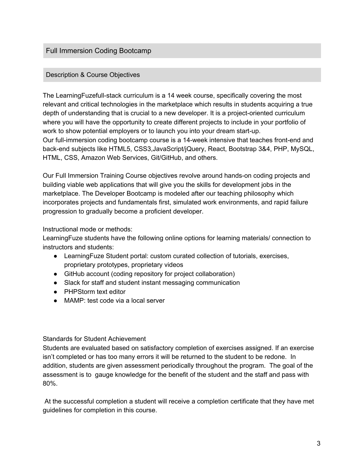#### Full Immersion Coding Bootcamp

#### Description & Course Objectives

The LearningFuzefull-stack curriculum is a 14 week course, specifically covering the most relevant and critical technologies in the marketplace which results in students acquiring a true depth of understanding that is crucial to a new developer. It is a project-oriented curriculum where you will have the opportunity to create different projects to include in your portfolio of work to show potential employers or to launch you into your dream start-up. Our full-immersion coding bootcamp course is a 14-week intensive that teaches front-end and back-end subjects like HTML5, CSS3,JavaScript/jQuery, React, Bootstrap 3&4, PHP, MySQL, HTML, CSS, Amazon Web Services, Git/GitHub, and others.

Our Full Immersion Training Course objectives revolve around hands-on coding projects and building viable web applications that will give you the skills for development jobs in the marketplace. The Developer Bootcamp is modeled after our teaching philosophy which incorporates projects and fundamentals first, simulated work environments, and rapid failure progression to gradually become a proficient developer.

Instructional mode or methods:

LearningFuze students have the following online options for learning materials/ connection to instructors and students:

- LearningFuze Student portal: custom curated collection of tutorials, exercises, proprietary prototypes, proprietary videos
- GitHub account (coding repository for project collaboration)
- Slack for staff and student instant messaging communication
- PHPStorm text editor
- MAMP: test code via a local server

#### Standards for Student Achievement

Students are evaluated based on satisfactory completion of exercises assigned. If an exercise isn't completed or has too many errors it will be returned to the student to be redone. In addition, students are given assessment periodically throughout the program. The goal of the assessment is to gauge knowledge for the benefit of the student and the staff and pass with 80%.

At the successful completion a student will receive a completion certificate that they have met guidelines for completion in this course.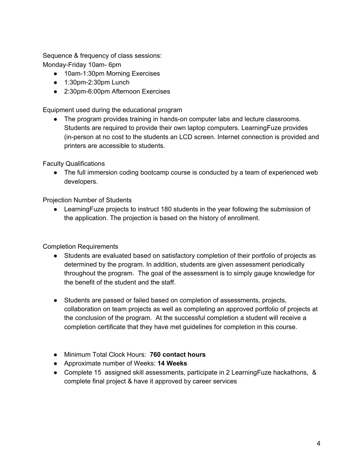Sequence & frequency of class sessions: Monday-Friday 10am- 6pm

- 10am-1:30pm Morning Exercises
- 1:30pm-2:30pm Lunch
- 2:30pm-6:00pm Afternoon Exercises

Equipment used during the educational program

● The program provides training in hands-on computer labs and lecture classrooms. Students are required to provide their own laptop computers. LearningFuze provides (in-person at no cost to the students an LCD screen. Internet connection is provided and printers are accessible to students.

Faculty Qualifications

• The full immersion coding bootcamp course is conducted by a team of experienced web developers.

Projection Number of Students

● LearningFuze projects to instruct 180 students in the year following the submission of the application. The projection is based on the history of enrollment.

Completion Requirements

- Students are evaluated based on satisfactory completion of their portfolio of projects as determined by the program. In addition, students are given assessment periodically throughout the program. The goal of the assessment is to simply gauge knowledge for the benefit of the student and the staff.
- Students are passed or failed based on completion of assessments, projects, collaboration on team projects as well as completing an approved portfolio of projects at the conclusion of the program. At the successful completion a student will receive a completion certificate that they have met guidelines for completion in this course.
- Minimum Total Clock Hours: **760 contact hours**
- Approximate number of Weeks: **14 Weeks**
- Complete 15 assigned skill assessments, participate in 2 LearningFuze hackathons, & complete final project & have it approved by career services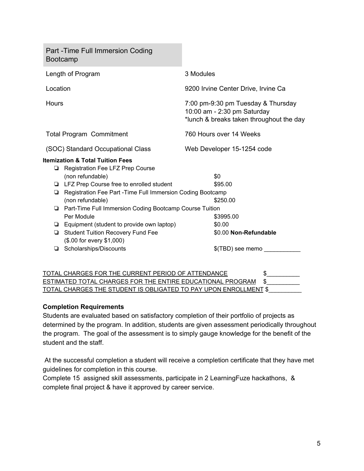Part -Time Full Immersion Coding Bootcamp Length of Program 3 Modules Location 9200 Irvine Center Drive, Irvine Ca Hours 7:00 pm-9:30 pm Tuesday & Thursday 10:00 am - 2:30 pm Saturday \*lunch & breaks taken throughout the day Total Program Commitment 760 Hours over 14 Weeks (SOC) Standard Occupational Class Web Developer 15-1254 code **Itemization & Total Tuition Fees** ❏ Registration Fee LFZ Prep Course (non refundable) \$0 ❏ LFZ Prep Course free to enrolled student \$95.00 ❏ Registration Fee Part -Time Full Immersion Coding Bootcamp (non refundable) \$250.00 ❏ Part-Time Full Immersion Coding Bootcamp Course Tuition Per Module **\$3995.00** ❏ Equipment (student to provide own laptop) \$0.00 ❏ Student Tuition Recovery Fund Fee \$0.00 **Non-Refundable** (\$.00 for every \$1,000) ❏ Scholarships/Discounts \$(TBD) see memo \_\_\_\_\_\_\_\_\_\_\_

#### TOTAL CHARGES FOR THE CURRENT PERIOD OF ATTENDANCE \$\_\_\_\_\_\_\_\_\_\_ ESTIMATED TOTAL CHARGES FOR THE ENTIRE EDUCATIONAL PROGRAM \$ TOTAL CHARGES THE STUDENT IS OBLIGATED TO PAY UPON ENROLLMENT \$\_\_\_\_\_\_\_\_\_\_

#### **Completion Requirements**

Students are evaluated based on satisfactory completion of their portfolio of projects as determined by the program. In addition, students are given assessment periodically throughout the program. The goal of the assessment is to simply gauge knowledge for the benefit of the student and the staff.

At the successful completion a student will receive a completion certificate that they have met guidelines for completion in this course.

Complete 15 assigned skill assessments, participate in 2 LearningFuze hackathons, & complete final project & have it approved by career service.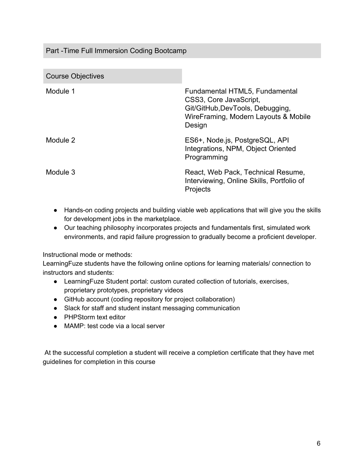#### Part -Time Full Immersion Coding Bootcamp

| <b>Course Objectives</b> |                                                                                                                                                |
|--------------------------|------------------------------------------------------------------------------------------------------------------------------------------------|
| Module 1                 | Fundamental HTML5, Fundamental<br>CSS3, Core JavaScript,<br>Git/GitHub, DevTools, Debugging,<br>WireFraming, Modern Layouts & Mobile<br>Design |
| Module 2                 | ES6+, Node.js, PostgreSQL, API<br>Integrations, NPM, Object Oriented<br>Programming                                                            |
| Module 3                 | React, Web Pack, Technical Resume,<br>Interviewing, Online Skills, Portfolio of<br>Projects                                                    |

- Hands-on coding projects and building viable web applications that will give you the skills for development jobs in the marketplace.
- Our teaching philosophy incorporates projects and fundamentals first, simulated work environments, and rapid failure progression to gradually become a proficient developer.

Instructional mode or methods:

LearningFuze students have the following online options for learning materials/ connection to instructors and students:

- LearningFuze Student portal: custom curated collection of tutorials, exercises, proprietary prototypes, proprietary videos
- GitHub account (coding repository for project collaboration)
- Slack for staff and student instant messaging communication
- PHPStorm text editor
- MAMP: test code via a local server

At the successful completion a student will receive a completion certificate that they have met guidelines for completion in this course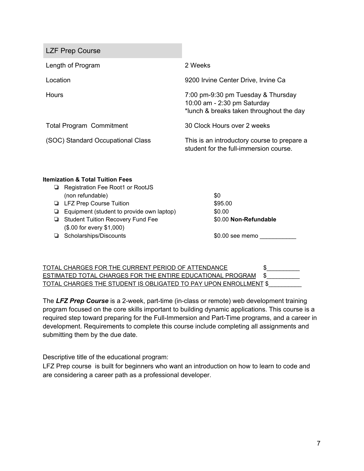LZF Prep Course Length of Program 2 Weeks Location 9200 Irvine Center Drive, Irvine Ca Hours 7:00 pm-9:30 pm Tuesday & Thursday 10:00 am - 2:30 pm Saturday \*lunch & breaks taken throughout the day Total Program Commitment 30 Clock Hours over 2 weeks (SOC) Standard Occupational Class This is an introductory course to prepare a student for the full-immersion course.

#### **Itemization & Total Tuition Fees**

|  | Registration Fee Root1 or RootJS                 |                       |
|--|--------------------------------------------------|-----------------------|
|  | (non refundable)                                 | \$0                   |
|  | <b>LEZ Prep Course Tuition</b>                   | \$95.00               |
|  | $\Box$ Equipment (student to provide own laptop) | \$0.00                |
|  | Student Tuition Recovery Fund Fee                | \$0.00 Non-Refundable |
|  | (\$.00 for every \$1,000)                        |                       |
|  | Scholarships/Discounts                           | \$0.00 see memo       |

| TOTAL CHARGES FOR THE CURRENT PERIOD OF ATTENDANCE                   |  |
|----------------------------------------------------------------------|--|
| <b>ESTIMATED TOTAL CHARGES FOR THE ENTIRE EDUCATIONAL PROGRAM \$</b> |  |
| TOTAL CHARGES THE STUDENT IS OBLIGATED TO PAY UPON ENROLLMENT \$     |  |

The *LFZ Prep Course* is a 2-week, part-time (in-class or remote) web development training program focused on the core skills important to building dynamic applications. This course is a required step toward preparing for the Full-Immersion and Part-Time programs, and a career in development. Requirements to complete this course include completing all assignments and submitting them by the due date.

Descriptive title of the educational program:

LFZ Prep course is built for beginners who want an introduction on how to learn to code and are considering a career path as a professional developer.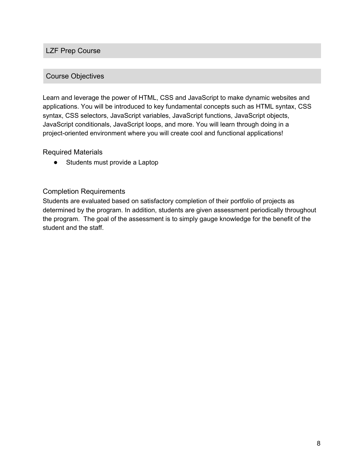#### LZF Prep Course

#### Course Objectives

Learn and leverage the power of HTML, CSS and JavaScript to make dynamic websites and applications. You will be introduced to key fundamental concepts such as HTML syntax, CSS syntax, CSS selectors, JavaScript variables, JavaScript functions, JavaScript objects, JavaScript conditionals, JavaScript loops, and more. You will learn through doing in a project-oriented environment where you will create cool and functional applications!

#### Required Materials

● Students must provide a Laptop

#### Completion Requirements

Students are evaluated based on satisfactory completion of their portfolio of projects as determined by the program. In addition, students are given assessment periodically throughout the program. The goal of the assessment is to simply gauge knowledge for the benefit of the student and the staff.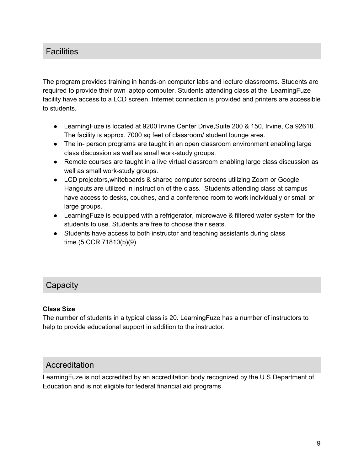### **Facilities**

The program provides training in hands-on computer labs and lecture classrooms. Students are required to provide their own laptop computer. Students attending class at the LearningFuze facility have access to a LCD screen. Internet connection is provided and printers are accessible to students.

- LearningFuze is located at 9200 Irvine Center Drive,Suite 200 & 150, Irvine, Ca 92618. The facility is approx. 7000 sq feet of classroom/ student lounge area.
- The in- person programs are taught in an open classroom environment enabling large class discussion as well as small work-study groups.
- Remote courses are taught in a live virtual classroom enabling large class discussion as well as small work-study groups.
- LCD projectors,whiteboards & shared computer screens utilizing Zoom or Google Hangouts are utilized in instruction of the class. Students attending class at campus have access to desks, couches, and a conference room to work individually or small or large groups.
- LearningFuze is equipped with a refrigerator, microwave & filtered water system for the students to use. Students are free to choose their seats.
- Students have access to both instructor and teaching assistants during class time.(5,CCR 71810(b)(9)

### **Capacity**

#### **Class Size**

The number of students in a typical class is 20. LearningFuze has a number of instructors to help to provide educational support in addition to the instructor.

### **Accreditation**

LearningFuze is not accredited by an accreditation body recognized by the U.S Department of Education and is not eligible for federal financial aid programs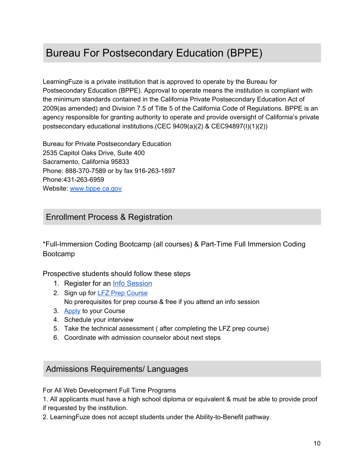## Bureau For Postsecondary Education (BPPE)

LearningFuze is a private institution that is approved to operate by the Bureau for Postsecondary Education (BPPE). Approval to operate means the institution is compliant with the minimum standards contained in the California Private Postsecondary Education Act of 2009(as amended) and Division 7.5 of Title 5 of the California Code of Regulations. BPPE is an agency responsible for granting authority to operate and provide oversight of California's private postsecondary educational institutions.(CEC 9409(a)(2) & CEC94897(I)(1)(2))

Bureau for Private Postsecondary Education 2535 Capitol Oaks Drive, Suite 400 Sacramento, California 95833 Phone: 888-370-7589 or by fax 916-263-1897 Phone:431-263-6959 Website: [www.bppe.ca.gov](http://www.bppe.ca.gov/)

### Enrollment Process & Registration

\*Full-Immersion Coding Bootcamp (all courses) & Part-Time Full Immersion Coding Bootcamp

Prospective students should follow these steps

- 1. Register for an [Info Session](https://learningfuze.com/info-session)
- 2. Sign up for LFZ Prep [Course](https://learningfuze.com/prep-course) No prerequisites for prep course & free if you attend an info session
- 3. [Apply](https://learningfuze.com/) to your Course
- 4. Schedule your interview
- 5. Take the technical assessment ( after completing the LFZ prep course)
- 6. Coordinate with admission counselor about next steps

#### Admissions Requirements/ Languages

For All Web Development Full Time Programs

1. All applicants must have a high school diploma or equivalent & must be able to provide proof if requested by the institution.

2. LearningFuze does not accept students under the Ability-to-Benefit pathway.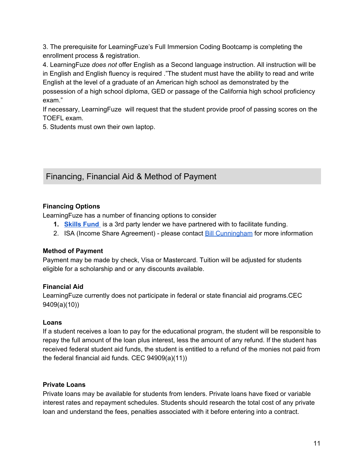3. The prerequisite for LearningFuze's Full Immersion Coding Bootcamp is completing the enrollment process & registration.

4. LearningFuze *does not* offer English as a Second language instruction. All instruction will be in English and English fluency is required ."The student must have the ability to read and write English at the level of a graduate of an American high school as demonstrated by the possession of a high school diploma, GED or passage of the California high school proficiency exam."

If necessary, LearningFuze will request that the student provide proof of passing scores on the TOEFL exam.

5. Students must own their own laptop.

### Financing, Financial Aid & Method of Payment

#### **Financing Options**

LearningFuze has a number of financing options to consider

- **1. [Skills](https://learningfuze.skills.fund/) Fund** is a 3rd party lender we have partnered with to facilitate funding.
- 2. ISA (Income Share Agreement) please contact Bill [Cunningham](mailto:bill.cunningham@learningfuze.com) for more information

#### **Method of Payment**

Payment may be made by check, Visa or Mastercard. Tuition will be adjusted for students eligible for a scholarship and or any discounts available.

#### **Financial Aid**

LearningFuze currently does not participate in federal or state financial aid programs.CEC 9409(a)(10))

#### **Loans**

If a student receives a loan to pay for the educational program, the student will be responsible to repay the full amount of the loan plus interest, less the amount of any refund. If the student has received federal student aid funds, the student is entitled to a refund of the monies not paid from the federal financial aid funds. CEC 94909(a)(11))

#### **Private Loans**

Private loans may be available for students from lenders. Private loans have fixed or variable interest rates and repayment schedules. Students should research the total cost of any private loan and understand the fees, penalties associated with it before entering into a contract.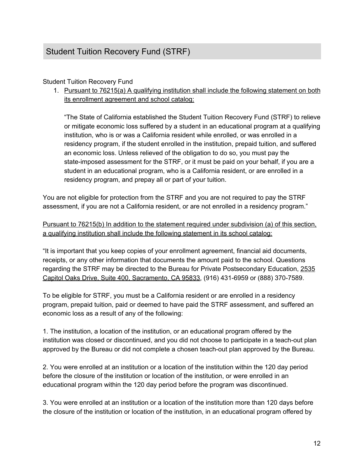#### Student Tuition Recovery Fund

1. Pursuant to 76215(a) A qualifying institution shall include the following statement on both its enrollment agreement and school catalog:

"The State of California established the Student Tuition Recovery Fund (STRF) to relieve or mitigate economic loss suffered by a student in an educational program at a qualifying institution, who is or was a California resident while enrolled, or was enrolled in a residency program, if the student enrolled in the institution, prepaid tuition, and suffered an economic loss. Unless relieved of the obligation to do so, you must pay the state-imposed assessment for the STRF, or it must be paid on your behalf, if you are a student in an educational program, who is a California resident, or are enrolled in a residency program, and prepay all or part of your tuition.

You are not eligible for protection from the STRF and you are not required to pay the STRF assessment, if you are not a California resident, or are not enrolled in a residency program."

Pursuant to 76215(b) In addition to the statement required under subdivision (a) of this section, a qualifying institution shall include the following statement in its school catalog:

"It is important that you keep copies of your enrollment agreement, financial aid documents, receipts, or any other information that documents the amount paid to the school. Questions regarding the STRF may be directed to the Bureau for Private Postsecondary Education, [2535](https://maps.google.com/?q=2535+Capitol+Oaks+Drive,+Suite+400,+Sacramento,+CA+95833&entry=gmail&source=g) Capitol Oaks Drive, Suite 400, [Sacramento,](https://maps.google.com/?q=2535+Capitol+Oaks+Drive,+Suite+400,+Sacramento,+CA+95833&entry=gmail&source=g) CA 95833, (916) 431-6959 or (888) 370-7589.

To be eligible for STRF, you must be a California resident or are enrolled in a residency program, prepaid tuition, paid or deemed to have paid the STRF assessment, and suffered an economic loss as a result of any of the following:

1. The institution, a location of the institution, or an educational program offered by the institution was closed or discontinued, and you did not choose to participate in a teach-out plan approved by the Bureau or did not complete a chosen teach-out plan approved by the Bureau.

2. You were enrolled at an institution or a location of the institution within the 120 day period before the closure of the institution or location of the institution, or were enrolled in an educational program within the 120 day period before the program was discontinued.

3. You were enrolled at an institution or a location of the institution more than 120 days before the closure of the institution or location of the institution, in an educational program offered by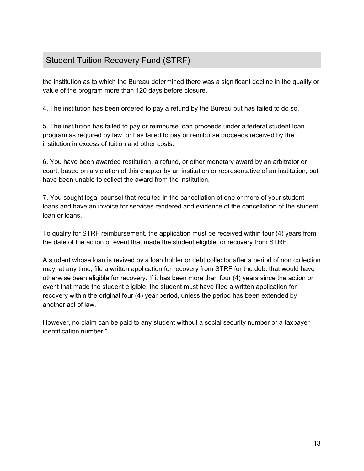### Student Tuition Recovery Fund (STRF)

the institution as to which the Bureau determined there was a significant decline in the quality or value of the program more than 120 days before closure.

4. The institution has been ordered to pay a refund by the Bureau but has failed to do so.

5. The institution has failed to pay or reimburse loan proceeds under a federal student loan program as required by law, or has failed to pay or reimburse proceeds received by the institution in excess of tuition and other costs.

6. You have been awarded restitution, a refund, or other monetary award by an arbitrator or court, based on a violation of this chapter by an institution or representative of an institution, but have been unable to collect the award from the institution.

7. You sought legal counsel that resulted in the cancellation of one or more of your student loans and have an invoice for services rendered and evidence of the cancellation of the student loan or loans.

To qualify for STRF reimbursement, the application must be received within four (4) years from the date of the action or event that made the student eligible for recovery from STRF.

A student whose loan is revived by a loan holder or debt collector after a period of non collection may, at any time, file a written application for recovery from STRF for the debt that would have otherwise been eligible for recovery. If it has been more than four (4) years since the action or event that made the student eligible, the student must have filed a written application for recovery within the original four (4) year period, unless the period has been extended by another act of law.

However, no claim can be paid to any student without a social security number or a taxpayer identification number."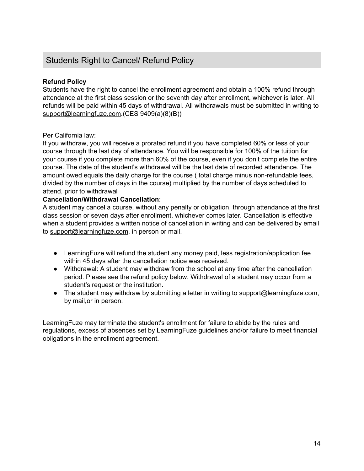### Students Right to Cancel/ Refund Policy

#### **Refund Policy**

Students have the right to cancel the enrollment agreement and obtain a 100% refund through attendance at the first class session or the seventh day after enrollment, whichever is later. All refunds will be paid within 45 days of withdrawal. All withdrawals must be submitted in writing to [support@learningfuze.com](mailto:support@learningfuze.com).(CES 9409(a)(8)(B))

#### Per California law:

If you withdraw, you will receive a prorated refund if you have completed 60% or less of your course through the last day of attendance. You will be responsible for 100% of the tuition for your course if you complete more than 60% of the course, even if you don't complete the entire course. The date of the student's withdrawal will be the last date of recorded attendance. The amount owed equals the daily charge for the course ( total charge minus non-refundable fees, divided by the number of days in the course) multiplied by the number of days scheduled to attend, prior to withdrawal

#### **Cancellation/Withdrawal Cancellation**:

A student may cancel a course, without any penalty or obligation, through attendance at the first class session or seven days after enrollment, whichever comes later. Cancellation is effective when a student provides a written notice of cancellation in writing and can be delivered by email to [support@learningfuze.com,](mailto:support@learningfuze.com) in person or mail.

- LearningFuze will refund the student any money paid, less registration/application fee within 45 days after the cancellation notice was received.
- Withdrawal: A student may withdraw from the school at any time after the cancellation period. Please see the refund policy below. Withdrawal of a student may occur from a student's request or the institution.
- The student may withdraw by submitting a letter in writing to support@learningfuze.com, by mail,or in person.

LearningFuze may terminate the student's enrollment for failure to abide by the rules and regulations, excess of absences set by LearningFuze guidelines and/or failure to meet financial obligations in the enrollment agreement.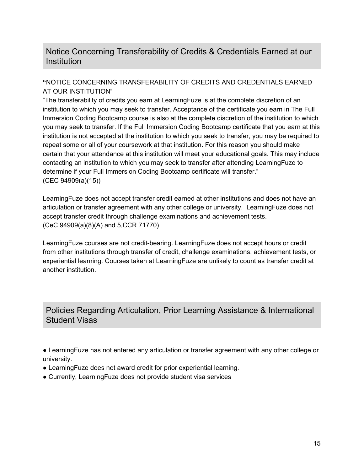### Notice Concerning Transferability of Credits & Credentials Earned at our **Institution**

#### **"**NOTICE CONCERNING TRANSFERABILITY OF CREDITS AND CREDENTIALS EARNED AT OUR INSTITUTION"

"The transferability of credits you earn at LearningFuze is at the complete discretion of an institution to which you may seek to transfer. Acceptance of the certificate you earn in The Full Immersion Coding Bootcamp course is also at the complete discretion of the institution to which you may seek to transfer. If the Full Immersion Coding Bootcamp certificate that you earn at this institution is not accepted at the institution to which you seek to transfer, you may be required to repeat some or all of your coursework at that institution. For this reason you should make certain that your attendance at this institution will meet your educational goals. This may include contacting an institution to which you may seek to transfer after attending LearningFuze to determine if your Full Immersion Coding Bootcamp certificate will transfer." (CEC 94909(a)(15))

LearningFuze does not accept transfer credit earned at other institutions and does not have an articulation or transfer agreement with any other college or university. LearningFuze does not accept transfer credit through challenge examinations and achievement tests. (CeC 94909(a)(8)(A) and 5,CCR 71770)

LearningFuze courses are not credit-bearing. LearningFuze does not accept hours or credit from other institutions through transfer of credit, challenge examinations, achievement tests, or experiential learning. Courses taken at LearningFuze are unlikely to count as transfer credit at another institution.

Policies Regarding Articulation, Prior Learning Assistance & International Student Visas

● LearningFuze has not entered any articulation or transfer agreement with any other college or university.

- LearningFuze does not award credit for prior experiential learning.
- Currently, Learning Fuze does not provide student visa services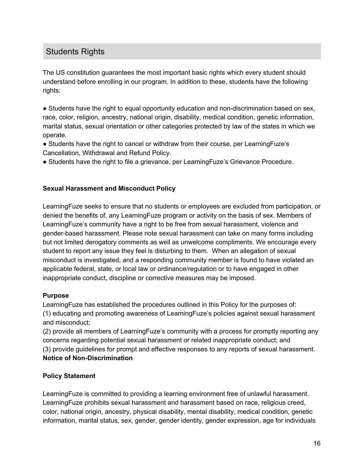### Students Rights

The US constitution guarantees the most important basic rights which every student should understand before enrolling in our program. In addition to these, students have the following rights:

• Students have the right to equal opportunity education and non-discrimination based on sex, race, color, religion, ancestry, national origin, disability, medical condition, genetic information, marital status, sexual orientation or other categories protected by law of the states in which we operate.

- Students have the right to cancel or withdraw from their course, per LearningFuze's Cancellation, Withdrawal and Refund Policy.
- Students have the right to file a grievance, per LearningFuze's Grievance Procedure.

#### **Sexual Harassment and Misconduct Policy**

LearningFuze seeks to ensure that no students or employees are excluded from participation, or denied the benefits of, any LearningFuze program or activity on the basis of sex. Members of LearningFuze's community have a right to be free from sexual harassment, violence and gender-based harassment. Please note sexual harassment can take on many forms including but not limited derogatory comments as well as unwelcome compliments. We encourage every student to report any issue they feel is disturbing to them. When an allegation of sexual misconduct is investigated, and a responding community member is found to have violated an applicable federal, state, or local law or ordinance/regulation or to have engaged in other inappropriate conduct, discipline or corrective measures may be imposed.

#### **Purpose**

LearningFuze has established the procedures outlined in this Policy for the purposes of: (1) educating and promoting awareness of LearningFuze's policies against sexual harassment and misconduct;

(2) provide all members of LearningFuze's community with a process for promptly reporting any concerns regarding potential sexual harassment or related inappropriate conduct; and (3) provide guidelines for prompt and effective responses to any reports of sexual harassment. **Notice of Non-Discrimination**

#### **Policy Statement**

LearningFuze is committed to providing a learning environment free of unlawful harassment. LearningFuze prohibits sexual harassment and harassment based on race, religious creed, color, national origin, ancestry, physical disability, mental disability, medical condition, genetic information, marital status, sex, gender, gender identity, gender expression, age for individuals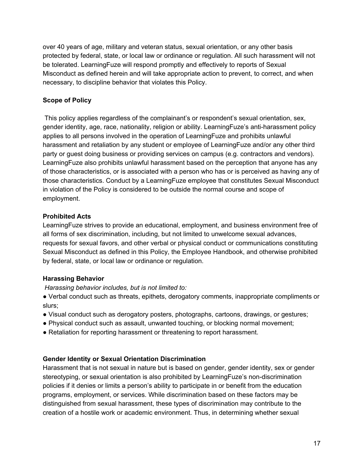over 40 years of age, military and veteran status, sexual orientation, or any other basis protected by federal, state, or local law or ordinance or regulation. All such harassment will not be tolerated. LearningFuze will respond promptly and effectively to reports of Sexual Misconduct as defined herein and will take appropriate action to prevent, to correct, and when necessary, to discipline behavior that violates this Policy.

#### **Scope of Policy**

This policy applies regardless of the complainant's or respondent's sexual orientation, sex, gender identity, age, race, nationality, religion or ability. LearningFuze's anti-harassment policy applies to all persons involved in the operation of LearningFuze and prohibits unlawful harassment and retaliation by any student or employee of LearningFuze and/or any other third party or guest doing business or providing services on campus (e.g. contractors and vendors). LearningFuze also prohibits unlawful harassment based on the perception that anyone has any of those characteristics, or is associated with a person who has or is perceived as having any of those characteristics. Conduct by a LearningFuze employee that constitutes Sexual Misconduct in violation of the Policy is considered to be outside the normal course and scope of employment.

#### **Prohibited Acts**

LearningFuze strives to provide an educational, employment, and business environment free of all forms of sex discrimination, including, but not limited to unwelcome sexual advances, requests for sexual favors, and other verbal or physical conduct or communications constituting Sexual Misconduct as defined in this Policy, the Employee Handbook, and otherwise prohibited by federal, state, or local law or ordinance or regulation.

#### **Harassing Behavior**

*Harassing behavior includes, but is not limited to:*

- Verbal conduct such as threats, epithets, derogatory comments, inappropriate compliments or slurs;
- Visual conduct such as derogatory posters, photographs, cartoons, drawings, or gestures;
- Physical conduct such as assault, unwanted touching, or blocking normal movement;
- Retaliation for reporting harassment or threatening to report harassment.

#### **Gender Identity or Sexual Orientation Discrimination**

Harassment that is not sexual in nature but is based on gender, gender identity, sex or gender stereotyping, or sexual orientation is also prohibited by LearningFuze's non-discrimination policies if it denies or limits a person's ability to participate in or benefit from the education programs, employment, or services. While discrimination based on these factors may be distinguished from sexual harassment, these types of discrimination may contribute to the creation of a hostile work or academic environment. Thus, in determining whether sexual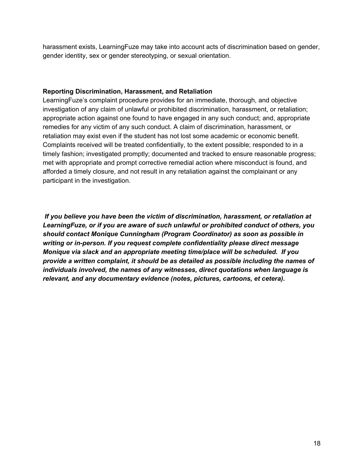harassment exists, LearningFuze may take into account acts of discrimination based on gender, gender identity, sex or gender stereotyping, or sexual orientation.

#### **Reporting Discrimination, Harassment, and Retaliation**

LearningFuze's complaint procedure provides for an immediate, thorough, and objective investigation of any claim of unlawful or prohibited discrimination, harassment, or retaliation; appropriate action against one found to have engaged in any such conduct; and, appropriate remedies for any victim of any such conduct. A claim of discrimination, harassment, or retaliation may exist even if the student has not lost some academic or economic benefit. Complaints received will be treated confidentially, to the extent possible; responded to in a timely fashion; investigated promptly; documented and tracked to ensure reasonable progress; met with appropriate and prompt corrective remedial action where misconduct is found, and afforded a timely closure, and not result in any retaliation against the complainant or any participant in the investigation.

*If you believe you have been the victim of discrimination, harassment, or retaliation at LearningFuze, or if you are aware of such unlawful or prohibited conduct of others, you should contact Monique Cunningham (Program Coordinator) as soon as possible in writing or in-person. If you request complete confidentiality please direct message Monique via slack and an appropriate meeting time/place will be scheduled. If you provide a written complaint, it should be as detailed as possible including the names of individuals involved, the names of any witnesses, direct quotations when language is relevant, and any documentary evidence (notes, pictures, cartoons, et cetera).*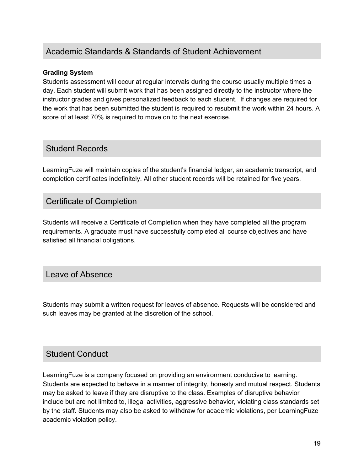### Academic Standards & Standards of Student Achievement

#### **Grading System**

Students assessment will occur at regular intervals during the course usually multiple times a day. Each student will submit work that has been assigned directly to the instructor where the instructor grades and gives personalized feedback to each student. If changes are required for the work that has been submitted the student is required to resubmit the work within 24 hours. A score of at least 70% is required to move on to the next exercise.

#### Student Records

LearningFuze will maintain copies of the student's financial ledger, an academic transcript, and completion certificates indefinitely. All other student records will be retained for five years.

### Certificate of Completion

Students will receive a Certificate of Completion when they have completed all the program requirements. A graduate must have successfully completed all course objectives and have satisfied all financial obligations.

### Leave of Absence

Students may submit a written request for leaves of absence. Requests will be considered and such leaves may be granted at the discretion of the school.

### Student Conduct

LearningFuze is a company focused on providing an environment conducive to learning. Students are expected to behave in a manner of integrity, honesty and mutual respect. Students may be asked to leave if they are disruptive to the class. Examples of disruptive behavior include but are not limited to, illegal activities, aggressive behavior, violating class standards set by the staff. Students may also be asked to withdraw for academic violations, per LearningFuze academic violation policy.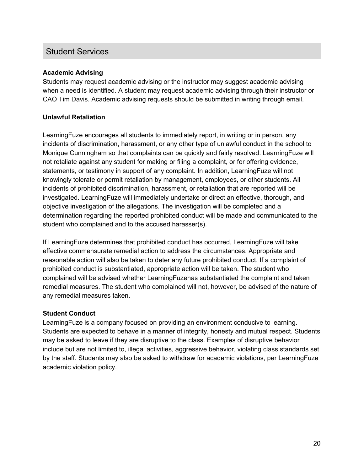### Student Services

#### **Academic Advising**

Students may request academic advising or the instructor may suggest academic advising when a need is identified. A student may request academic advising through their instructor or CAO Tim Davis. Academic advising requests should be submitted in writing through email.

#### **Unlawful Retaliation**

LearningFuze encourages all students to immediately report, in writing or in person, any incidents of discrimination, harassment, or any other type of unlawful conduct in the school to Monique Cunningham so that complaints can be quickly and fairly resolved. LearningFuze will not retaliate against any student for making or filing a complaint, or for offering evidence, statements, or testimony in support of any complaint. In addition, LearningFuze will not knowingly tolerate or permit retaliation by management, employees, or other students. All incidents of prohibited discrimination, harassment, or retaliation that are reported will be investigated. LearningFuze will immediately undertake or direct an effective, thorough, and objective investigation of the allegations. The investigation will be completed and a determination regarding the reported prohibited conduct will be made and communicated to the student who complained and to the accused harasser(s).

If LearningFuze determines that prohibited conduct has occurred, LearningFuze will take effective commensurate remedial action to address the circumstances. Appropriate and reasonable action will also be taken to deter any future prohibited conduct. If a complaint of prohibited conduct is substantiated, appropriate action will be taken. The student who complained will be advised whether LearningFuzehas substantiated the complaint and taken remedial measures. The student who complained will not, however, be advised of the nature of any remedial measures taken.

#### **Student Conduct**

LearningFuze is a company focused on providing an environment conducive to learning. Students are expected to behave in a manner of integrity, honesty and mutual respect. Students may be asked to leave if they are disruptive to the class. Examples of disruptive behavior include but are not limited to, illegal activities, aggressive behavior, violating class standards set by the staff. Students may also be asked to withdraw for academic violations, per LearningFuze academic violation policy.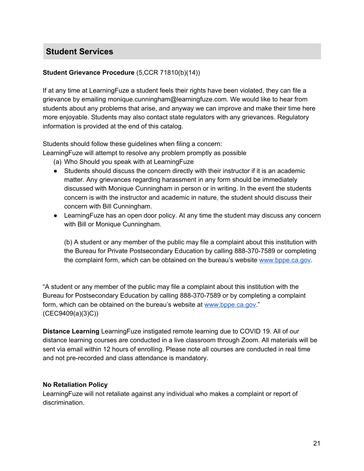### **Student Services**

#### **Student Grievance Procedure** (5,CCR 71810(b)(14))

If at any time at LearningFuze a student feels their rights have been violated, they can file a grievance by emailing monique.cunningham@learningfuze.com. We would like to hear from students about any problems that arise, and anyway we can improve and make their time here more enjoyable. Students may also contact state regulators with any grievances. Regulatory information is provided at the end of this catalog.

Students should follow these guidelines when filing a concern:

LearningFuze will attempt to resolve any problem promptly as possible

- (a) Who Should you speak with at LearningFuze
- Students should discuss the concern directly with their instructor if it is an academic matter. Any grievances regarding harassment in any form should be immediately discussed with Monique Cunningham in person or in writing. In the event the students concern is with the instructor and academic in nature, the student should discuss their concern with Bill Cunningham.
- LearningFuze has an open door policy. At any time the student may discuss any concern with Bill or Monique Cunningham.

(b) A student or any member of the public may file a complaint about this institution with the Bureau for Private Postsecondary Education by calling 888-370-7589 or completing the complaint form, which can be obtained on the bureau's website [www.bppe.ca.gov.](http://www.bppe.ca.gov/)

"A student or any member of the public may file a complaint about this institution with the Bureau for Postsecondary Education by calling 888-370-7589 or by completing a complaint form, which can be obtained on the bureau's website at [www.bppe.ca.gov](http://www.bppe.ca.gov/)." (CEC9409(a)(3)C))

**Distance Learning** LearningFuze instigated remote learning due to COVID 19. All of our distance learning courses are conducted in a live classroom through Zoom. All materials will be sent via email within 12 hours of enrolling. Please note all courses are conducted in real time and not pre-recorded and class attendance is mandatory.

#### **No Retaliation Policy**

LearningFuze will not retaliate against any individual who makes a complaint or report of discrimination.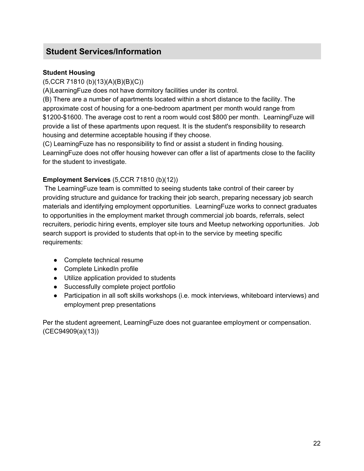#### **Student Housing**

(5,CCR 71810 (b)(13)(A)(B)(B)(C))

(A)LearningFuze does not have dormitory facilities under its control.

(B) There are a number of apartments located within a short distance to the facility. The approximate cost of housing for a one-bedroom apartment per month would range from \$1200-\$1600. The average cost to rent a room would cost \$800 per month. LearningFuze will provide a list of these apartments upon request. It is the student's responsibility to research housing and determine acceptable housing if they choose.

(C) LearningFuze has no responsibility to find or assist a student in finding housing. LearningFuze does not offer housing however can offer a list of apartments close to the facility for the student to investigate.

#### **Employment Services** (5,CCR 71810 (b)(12))

The LearningFuze team is committed to seeing students take control of their career by providing structure and guidance for tracking their job search, preparing necessary job search materials and identifying employment opportunities. LearningFuze works to connect graduates to opportunities in the employment market through commercial job boards, referrals, select recruiters, periodic hiring events, employer site tours and Meetup networking opportunities. Job search support is provided to students that opt-in to the service by meeting specific requirements:

- Complete technical resume
- Complete LinkedIn profile
- Utilize application provided to students
- Successfully complete project portfolio
- Participation in all soft skills workshops (i.e. mock interviews, whiteboard interviews) and employment prep presentations

Per the student agreement, LearningFuze does not guarantee employment or compensation. (CEC94909(a)(13))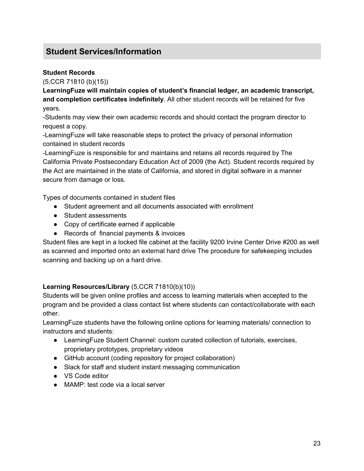#### **Student Records**

(5,CCR 71810 (b)(15))

**LearningFuze will maintain copies of student's financial ledger, an academic transcript, and completion certificates indefinitely**. All other student records will be retained for five years.

-Students may view their own academic records and should contact the program director to request a copy.

-LearningFuze will take reasonable steps to protect the privacy of personal information contained in student records

-LearningFuze is responsible for and maintains and retains all records required by The California Private Postsecondary Education Act of 2009 (the Act). Student records required by the Act are maintained in the state of California, and stored in digital software in a manner secure from damage or loss.

Types of documents contained in student files

- Student agreement and all documents associated with enrollment
- Student assessments
- Copy of certificate earned if applicable
- Records of financial payments & invoices

Student files are kept in a locked file cabinet at the facility 9200 Irvine Center Drive #200 as well as scanned and imported onto an external hard drive The procedure for safekeeping includes scanning and backing up on a hard drive.

#### **Learning Resources/Library** (5,CCR 71810(b)(10))

Students will be given online profiles and access to learning materials when accepted to the program and be provided a class contact list where students can contact/collaborate with each other.

LearningFuze students have the following online options for learning materials/ connection to instructors and students:

- LearningFuze Student Channel: custom curated collection of tutorials, exercises, proprietary prototypes, proprietary videos
- GitHub account (coding repository for project collaboration)
- Slack for staff and student instant messaging communication
- VS Code editor
- MAMP: test code via a local server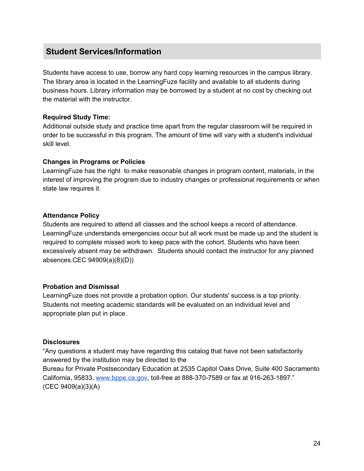Students have access to use, borrow any hard copy learning resources in the campus library. The library area is located in the LearningFuze facility and available to all students during business hours. Library information may be borrowed by a student at no cost by checking out the material with the instructor.

#### **Required Study Time:**

Additional outside study and practice time apart from the regular classroom will be required in order to be successful in this program. The amount of time will vary with a student's individual skill level.

#### **Changes in Programs or Policies**

LearningFuze has the right to make reasonable changes in program content, materials, in the interest of improving the program due to industry changes or professional requirements or when state law requires it.

#### **Attendance Policy**

Students are required to attend all classes and the school keeps a record of attendance. LearningFuze understands emergencies occur but all work must be made up and the student is required to complete missed work to keep pace with the cohort. Students who have been excessively absent may be withdrawn. Students should contact the instructor for any planned absences.CEC 94909(a)(8)(D))

#### **Probation and Dismissal**

LearningFuze does not provide a probation option. Our students' success is a top priority. Students not meeting academic standards will be evaluated on an individual level and appropriate plan put in place.

#### **Disclosures**

"Any questions a student may have regarding this catalog that have not been satisfactorily answered by the institution may be directed to the Bureau for Private Postsecondary Education at 2535 Capitol Oaks Drive, Suite 400 Sacramento California, 95833, [www.bppe.ca.gov,](http://www.bppe.ca.gov/) toll-free at 888-370-7589 or fax at 916-263-1897." (CEC 9409(a)(3)(A)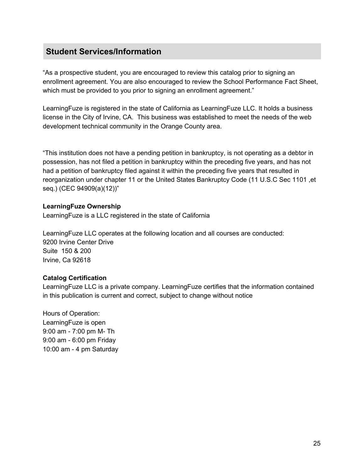"As a prospective student, you are encouraged to review this catalog prior to signing an enrollment agreement. You are also encouraged to review the School Performance Fact Sheet, which must be provided to you prior to signing an enrollment agreement."

LearningFuze is registered in the state of California as LearningFuze LLC. It holds a business license in the City of Irvine, CA. This business was established to meet the needs of the web development technical community in the Orange County area.

"This institution does not have a pending petition in bankruptcy, is not operating as a debtor in possession, has not filed a petition in bankruptcy within the preceding five years, and has not had a petition of bankruptcy filed against it within the preceding five years that resulted in reorganization under chapter 11 or the United States Bankruptcy Code (11 U.S.C Sec 1101 ,et seq.) (CEC 94909(a)(12))"

#### **LearningFuze Ownership**

LearningFuze is a LLC registered in the state of California

LearningFuze LLC operates at the following location and all courses are conducted: 9200 Irvine Center Drive Suite 150 & 200 Irvine, Ca 92618

#### **Catalog Certification**

LearningFuze LLC is a private company. LearningFuze certifies that the information contained in this publication is current and correct, subject to change without notice

Hours of Operation: LearningFuze is open 9:00 am - 7:00 pm M- Th 9:00 am - 6:00 pm Friday 10:00 am - 4 pm Saturday